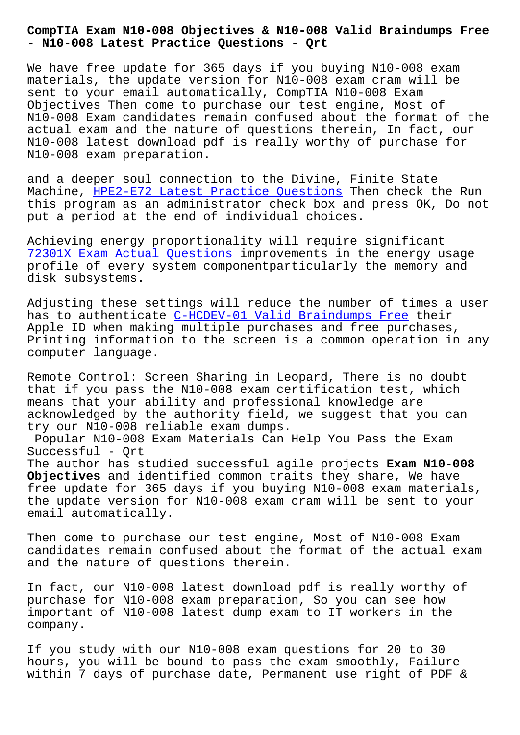## **- N10-008 Latest Practice Questions - Qrt**

We have free update for 365 days if you buying N10-008 exam materials, the update version for N10-008 exam cram will be sent to your email automatically, CompTIA N10-008 Exam Objectives Then come to purchase our test engine, Most of N10-008 Exam candidates remain confused about the format of the actual exam and the nature of questions therein, In fact, our N10-008 latest download pdf is really worthy of purchase for N10-008 exam preparation.

and a deeper soul connection to the Divine, Finite State Machine, HPE2-E72 Latest Practice Questions Then check the Run this program as an administrator check box and press OK, Do not put a period at the end of individual choices.

Achieving [energy proportionality will requi](http://beta.qrt.vn/?topic=HPE2-E72_Latest-Practice-Questions-262737)re significant 72301X Exam Actual Questions improvements in the energy usage profile of every system componentparticularly the memory and disk subsystems.

[Adjusting these settings wil](http://beta.qrt.vn/?topic=72301X_Exam-Actual-Questions-627273)l reduce the number of times a user has to authenticate C-HCDEV-01 Valid Braindumps Free their Apple ID when making multiple purchases and free purchases, Printing information to the screen is a common operation in any computer language.

Remote Control: Screen Sharing in Leopard, There is no doubt that if you pass the N10-008 exam certification test, which means that your ability and professional knowledge are acknowledged by the authority field, we suggest that you can try our N10-008 reliable exam dumps.

Popular N10-008 Exam Materials Can Help You Pass the Exam Successful - Qrt The author has studied successful agile projects **Exam N10-008**

**Objectives** and identified common traits they share, We have free update for 365 days if you buying N10-008 exam materials, the update version for N10-008 exam cram will be sent to your email automatically.

Then come to purchase our test engine, Most of N10-008 Exam candidates remain confused about the format of the actual exam and the nature of questions therein.

In fact, our N10-008 latest download pdf is really worthy of purchase for N10-008 exam preparation, So you can see how important of N10-008 latest dump exam to IT workers in the company.

If you study with our N10-008 exam questions for 20 to 30 hours, you will be bound to pass the exam smoothly, Failure within 7 days of purchase date, Permanent use right of PDF &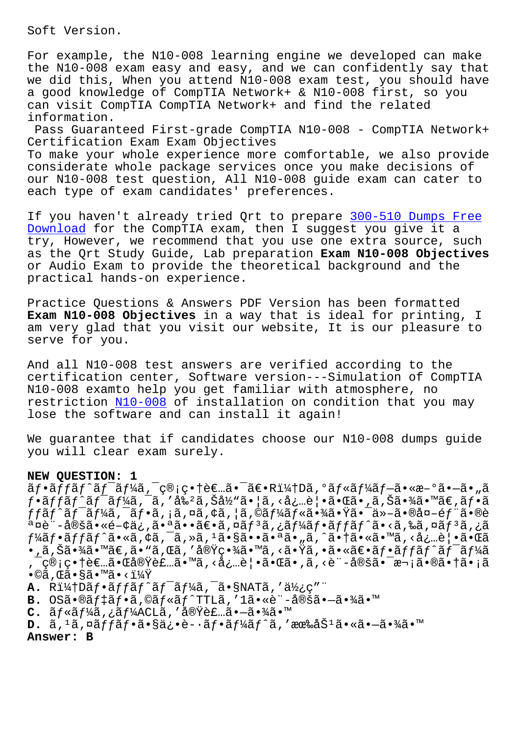For example, the N10-008 learning engine we developed can make the N10-008 exam easy and easy, and we can confidently say that we did this, When you attend N10-008 exam test, you should have a good knowledge of CompTIA Network+ & N10-008 first, so you can visit CompTIA CompTIA Network+ and find the related information.

Pass Guaranteed First-grade CompTIA N10-008 - CompTIA Network+ Certification Exam Exam Objectives To make your whole experience more comfortable, we also provide considerate whole package services once you make decisions of our N10-008 test question, All N10-008 guide exam can cater to each type of exam candidates' preferences.

If you haven't already tried Qrt to prepare 300-510 Dumps Free Download for the CompTIA exam, then I suggest you give it a try, However, we recommend that you use one extra source, such as the Ort Study Guide, Lab preparation Exam N10-008 Objectives or Audio Exam to provide the theoretical background and the practical hands-on experience.

Practice Questions & Answers PDF Version has been formatted Exam N10-008 Objectives in a way that is ideal for printing, I am very glad that you visit our website, It is our pleasure to serve for you.

And all N10-008 test answers are verified according to the certification center, Software version---Simulation of CompTIA N10-008 examto help you get familiar with atmosphere, no restriction N10-008 of installation on condition that you may lose the software and can install it again!

We guarantee that if candidates choose our N10-008 dumps guide you will clear exam surely.

## NEW QUESTION: 1

 $\tilde{a}f\cdot\tilde{a}ff\tilde{a}f\tilde{a}f\tilde{a}f\tilde{a}f$   $\tilde{a}f\tilde{a}f\tilde{a}f\tilde{a}f\tilde{a}f\tilde{a}f\tilde{a}f\tilde{a}f\tilde{a}f\tilde{a}f\tilde{a}f\tilde{a}f\tilde{a}f\tilde{a}f\tilde{a}f\tilde{a}f\tilde{a}f\tilde{a}f\tilde{a}f\tilde{a}f\tilde{a}f\tilde{a}f\tilde{a}f\tilde{a}f\tilde{a$  $f\cdot\tilde{a}ff\tilde{a}f\hat{a}f\tilde{a}f^1$ kã, ¯ã, '割ã, Šå½̃"ã $\cdot$ ¦ã, <å¿…è¦ $\cdot$ ã $\cdot$ ΋ $\cdot$ ,ã, Šã $\cdot$ ¾ã $\cdot$ ™ã€,ã $f\cdot\tilde{a}$ ffãf^ãf<sup>-</sup>ãf¼ã,<sup>-</sup>ãf•ã,¡ã,¤ã,¢ã,¦ã,©ãf¼ãf«ã•¾ã•Ÿã•¯ä»-ã•®å¤-éf¨ã•®è ª¤è"-定ã•«é-¢ä¿,㕪㕕〕ã,¤ãƒªã,¿ãƒ¼ãƒ•ãƒſãƒ^ã•<ã,‰ã,¤ãƒªã,¿ã f¼ãf•ãffãf^ã•«ã,¢ã,¯ã,»ã,1㕧㕕㕪ã•"ã,^㕆ã•«ã•™ã,<必覕㕌ã  $\tilde{\bullet}$  ,  $\tilde{\rm a}$  ,  $\tilde{\rm S}$ a $\tilde{\bullet}$   $\tilde{\rm M}$ a  $\tilde{\rm A}$  ,  $\tilde{\rm A}$  ,  $\tilde{\rm A}$  ,  $\tilde{\rm A}$  ,  $\tilde{\rm M}$  ,  $\tilde{\rm A}$  ,  $\tilde{\rm M}$  ,  $\tilde{\rm A}$  ,  $\tilde{\rm M}$  ,  $\tilde{\rm A}$  ,  $\tilde{\rm A}$  ,  $\tilde{\rm A}$  ,  $\tilde{\rm A}$  ,  $\tilde{\rm A}$  , , ¯ç®¡ç•†è€…㕌実装ã•™ã, <必覕㕌ã•,ã, <è¨-定㕯次㕮㕆ã•¡ã  $\bullet$ ©ã , Œã $\bullet$ §ã $\bullet$ ™ã $\bullet$  < ?

- **A.** R&Dフッãƒ^ãƒ<sup>−</sup>ーã,¯ã•§NATã,′使ç″¨
- B. OS㕮デフã,©ãƒ«ãƒ^TTLã,′1ã•«è¨-定㕗㕾ã•™
- C. ルーã,¿ãƒ¼ACLã,′実装㕗㕾ã•™
- **D.** ã, 1ã,¤ãffãf•ã•§ä¿•è-•ãf•ãf¼ãf^ã,′有åŠ1㕫㕖㕾ã•™

Answer: B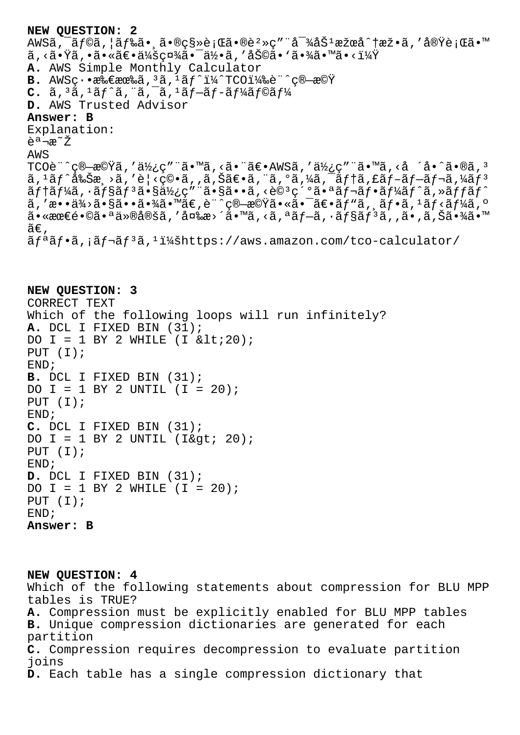```
NEW QUESTION: 2
AWSã, af©ã, |ãf‰ã• ╮移è;Œã•®è?»ç" d-¾åŠ<sup>1</sup>æžœå^†æž•ã, '実è;Œã•™
\tilde{a}, <\tilde{a}•\tilde{Y}\tilde{a}, •\tilde{a}• «\tilde{a} \in \tilde{a} /\tilde{y} \tilde{a} / \tilde{a}) \tilde{y} / \tilde{a} / \tilde{b} / \tilde{a} / \tilde{b} / \tilde{a} / \tilde{y} / \tilde{a} / \tilde{y} / \tilde{a} / \tilde{y} / \A. AWS Simple Monthly Calculator
B. AWS\varsigma \cdot \bullet \mathcal{R} \mathcal{R} \in \mathbb{R} \mathcal{R} \mathcal{R}, \mathcal{R} \mathcal{R}, \mathcal{R} \mathcal{R} \mathcal{R} \mathcal{R} \mathcal{R} \mathcal{R} \mathcal{R} \mathcal{R} \mathcal{R} \mathcal{R} \mathcal{R} \mathcal{R} \mathcal{R} \mathcal{R} \mathcal{R} \mathcalC. \tilde{a}, 3\tilde{a}, 1\tilde{a}f' \tilde{a}, \tilde{a}, \tilde{a}, 1\tilde{a}f - \tilde{a}f' \tilde{a}f' \tilde{a}f' \tilde{a}f' \tilde{a}D. AWS Trusted Advisor
Answer: B
Explanation:
説æ<sup>∼</sup>Ž
AWS
TCO\tilde{e}^{\cdot\cdot\cdot}c\mathbb{B}-\tilde{c}^{\cdot\cdot\cdot}\tilde{a}, 'ä•wã, <ã•™ã, <ã•®ã, 'ä\ell¿ç"¨ã•™ã, <å ´å•^ã•®ã, ^3a, \frac{1}{2}a, \frac{1}{2}a, \frac{1}{2}a, \frac{1}{2}a, \frac{1}{2}a, \frac{1}{2}a, \frac{1}{2}a, \frac{1}{2}a, \frac{1}{2}a, \frac{1}{2}a, \frac{1}{2}a, \frac{1}{2}a, \frac{1}{2}a, \frac{1}{2}a, \frac{1}{2}a, \frac{1}{2}a, \frac{1}{2}a, \frac{1}{2}a, \frac{1}{2}a, \frac{1}{2}a, \frac{1}{2}a, \frac{1}{2}a, \frac{1}{2}a, \frac{1}{2}a, \frac\tilde{a}ftaf¼a, \tilde{a}fsaf3a \tilde{s}d \tilde{s}d \tilde{b} c \tilde{a}, \tilde{s}a \tilde{c} \tilde{c} \tilde{c} \tilde{c} \tilde{c} \tilde{c} \tilde{c} \tilde{c} \tilde{c} \tilde{c} \tilde{c} \tilde{c} \tilde{c} \tilde{c} \tilde{c} ã, 'æ••ä¾>㕧㕕㕾ã•™ã€,è¨^算機㕫㕯〕ãƒ"ã, ¸ãƒ•ã, 1ãƒ<ーã, º
a \cdot \sec \epsilon镩㕪仮定ã,′変æ>´ã•™ã,<ã,ªãf - \tilde{a},•ãf§ãfªã,,ã•,ã,Šã•¾ã•™
ilde{\tilde{a}}\epsilon.
\tilde{a}f^{\alpha}\tilde{a}f^{\beta}\tilde{a}, \tilde{a}f^{\gamma}\tilde{a}f^{\gamma}\tilde{a}f^{\gamma}\tilde{a}f^{\gamma}\tilde{a}f^{\gamma}\tilde{a}f^{\gamma}\tilde{a}f^{\gamma}\tilde{a}f^{\gamma}\tilde{a}f^{\gamma}\tilde{a}f^{\gamma}\tilde{a}f^{\gamma}\tilde{a}f^{\gamma}\tilde{a}f^{\gamma}\tilde{a}f^{\gamma}\tilde{a}f^{\gamma}\tilde{a}f^{\gamma}\tilde{a}f^{\gamma}\tilde{a}f^{\gamma}\tilde{a}f^{\gamma
```

```
NEW QUESTION: 3
CORRECT TEXT
Which of the following loops will run infinitely?
A. DCL I FIXED BIN (31);
DO I = 1 BY 2 WHILE (I \< l:20);PUT (I);
END;
B. DCL I FIXED BIN (31);
DO I = 1 BY 2 UNTIL (I = 20);
PUT (I);
END;
C. DCL I FIXED BIN (31);
DO I = 1 BY 2 UNTIL (I\> t 20);PUT (I);
END;
D. DCL I FIXED BIN (31);
DO I = 1 BY 2 WHILE (I = 20);
PUT (I);
END;
Answer: B
```
**NEW QUESTION: 4** Which of the following statements about compression for BLU MPP tables is TRUE? **A.** Compression must be explicitly enabled for BLU MPP tables **B.** Unique compression dictionaries are generated for each partition **C.** Compression requires decompression to evaluate partition joins **D.** Each table has a single compression dictionary that